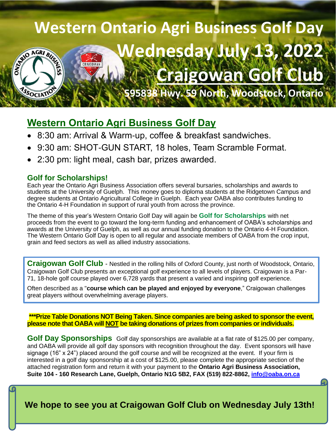## **Western Ontario Agri Business Golf Day Wednesday July 13** READ AGRI BUSE CRAIGOWAN **[Craigowan Golf Club](https://www.bing.com/maps?q=craigowan+golf&pc=MOZI&form=MOZTSB) 595838 Hwy. 59 North, Woodstock, Ontario**ASSOCIATIO

## **Western Ontario Agri Business Golf Day**

- 8:30 am: Arrival & Warm-up, coffee & breakfast sandwiches.
- 9:30 am: SHOT-GUN START, 18 holes, Team Scramble Format.
- 2:30 pm: light meal, cash bar, prizes awarded.

#### **Golf for Scholarships!**

Each year the Ontario Agri Business Association offers several bursaries, scholarships and awards to students at the University of Guelph. This money goes to diploma students at the Ridgetown Campus and degree students at Ontario Agricultural College in Guelph. Each year OABA also contributes funding to the Ontario 4-H Foundation in support of rural youth from across the province.

The theme of this year's Western Ontario Golf Day will again be **Golf for Scholarships** with net proceeds from the event to go toward the long-term funding and enhancement of OABA's scholarships and awards at the University of Guelph, as well as our annual funding donation to the Ontario 4-H Foundation. The Western Ontario Golf Day is open to all regular and associate members of OABA from the crop input, grain and feed sectors as well as allied industry associations.

**Craigowan Golf Club** - Nestled in the rolling hills of Oxford County, just north of Woodstock, Ontario, Craigowan Golf Club presents an exceptional golf experience to all levels of players. Craigowan is a Par-71, 18-hole golf course played over 6,728 yards that present a varied and inspiring golf experience.

Often described as a "**course which can be played and enjoyed by everyone**," Craigowan challenges great players without overwhelming average players.

**\*\*\*Prize Table Donations NOT Being Taken. Since companies are being asked to sponsor the event, please note that OABA will NOT be taking donations of prizes from companies or individuals.**

**Golf Day Sponsorships** Golf day sponsorships are available at a flat rate of \$125.00 per company, and OABA will provide all golf day sponsors with recognition throughout the day. Event sponsors will have signage (16" x 24") placed around the golf course and will be recognized at the event. If your firm is interested in a golf day sponsorship at a cost of \$125.00, please complete the appropriate section of the attached registration form and return it with your payment to the **Ontario Agri Business Association, Suite 104 - 160 Research Lane, Guelph, Ontario N1G 5B2, FAX (519) 822-8862, [info@oaba.on.ca](mailto:info@oaba.on.ca?subject=Western%20Golf%20Day%20-%20July%2013)**

**We hope to see you at Craigowan Golf Club on Wednesday July 13th!**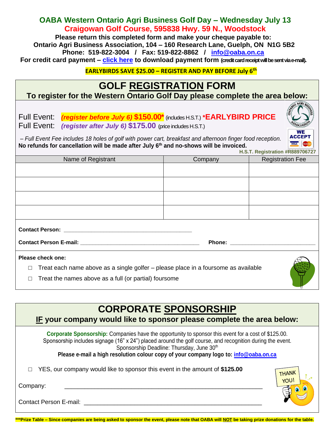### **OABA Western Ontario Agri Business Golf Day – Wednesday July 13 Craigowan Golf Course, 595838 Hwy. 59 N., Woodstock**

**Please return this completed form and make your cheque payable to: Ontario Agri Business Association, 104 – 160 Research Lane, Guelph, ON N1G 5B2 Phone: 519-822-3004 / Fax: 519-822-8862 / [info@oaba.on.ca](mailto:info@oaba.on.ca?subject=Western%20Golf%20Day) For credit card payment – [click here](http://www.oaba.on.ca/downloads/Credit%20Card%20Payment%20form.pdf) to download payment form (credit card receipt will be sent via e-mail).**

**EARLYBIRDS SAVE \$25.00 – REGISTER AND PAY BEFORE July 6 th**

# **GOLF REGISTRATION FORM**

**To register for the Western Ontario Golf Day please complete the area below:**

Full Event: *(register before July 6)* **\$150.00\***(includes H.S.T.) **\*EARLYBIRD PRICE** 

Full Event: *(register after July 6)* **\$175.00** (price includes H.S.T.)

*– Full Event Fee includes 18 holes of golf with power cart, breakfast and afternoon finger food reception.*  **No refunds for cancellation will be made after July 6 th and no-shows will be invoiced.**

|                                                                                              | H.S.T. Registration #R889706727 |                         |  |
|----------------------------------------------------------------------------------------------|---------------------------------|-------------------------|--|
| Name of Registrant                                                                           | Company                         | <b>Registration Fee</b> |  |
|                                                                                              |                                 |                         |  |
|                                                                                              |                                 |                         |  |
|                                                                                              |                                 |                         |  |
|                                                                                              |                                 |                         |  |
|                                                                                              |                                 |                         |  |
|                                                                                              |                                 |                         |  |
|                                                                                              |                                 |                         |  |
|                                                                                              |                                 |                         |  |
|                                                                                              |                                 |                         |  |
|                                                                                              |                                 |                         |  |
| Please check one:                                                                            |                                 |                         |  |
| Treat each name above as a single golfer – please place in a foursome as available<br>$\Box$ |                                 |                         |  |
| Treat the names above as a full (or partial) foursome<br>$\Box$                              |                                 |                         |  |

## **CORPORATE SPONSORSHIP**

**IF your company would like to sponsor please complete the area below:**

**Corporate Sponsorship:** Companies have the opportunity to sponsor this event for a cost of \$125.00. Sponsorship includes signage (16" x 24") placed around the golf course, and recognition during the event. Sponsorship Deadline: Thursday, June 30<sup>th</sup>

**Please e-mail a high resolution colour copy of your company logo to: [info@oaba.on.ca](mailto:info@oaba.on.ca?subject=logo%20for%20golf%20day%20sponsorship)**

□ YES, our company would like to sponsor this event in the amount of **\$125.00**



Contact Person E-mail:





**ACCEPT VISA**